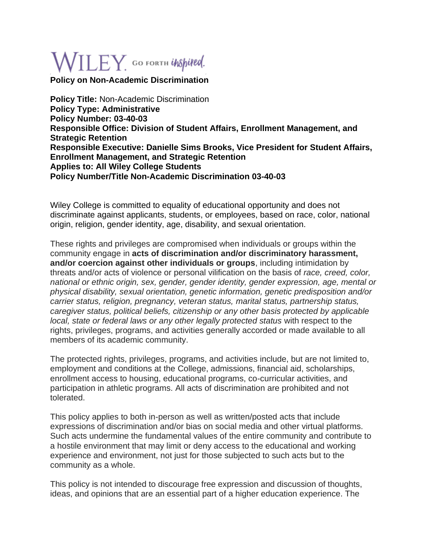## $\mathsf{WILEY}_\cdot$  GO FORTH UNSpited.

**Policy on Non-Academic Discrimination**

**Policy Title:** Non-Academic Discrimination **Policy Type: Administrative Policy Number: 03-40-03 Responsible Office: Division of Student Affairs, Enrollment Management, and Strategic Retention Responsible Executive: Danielle Sims Brooks, Vice President for Student Affairs, Enrollment Management, and Strategic Retention Applies to: All Wiley College Students Policy Number/Title Non-Academic Discrimination 03-40-03**

Wiley College is committed to equality of educational opportunity and does not discriminate against applicants, students, or employees, based on race, color, national origin, religion, gender identity, age, disability, and sexual orientation.

These rights and privileges are compromised when individuals or groups within the community engage in **acts of discrimination and/or discriminatory harassment, and/or coercion against other individuals or groups**, including intimidation by threats and/or acts of violence or personal vilification on the basis of *race, creed, color, national or ethnic origin, sex, gender, gender identity, gender expression, age, mental or physical disability, sexual orientation, genetic information, genetic predisposition and/or carrier status, religion, pregnancy, veteran status, marital status, partnership status, caregiver status, political beliefs, citizenship or any other basis protected by applicable local, state or federal laws or any other legally protected status* with respect to the rights, privileges, programs, and activities generally accorded or made available to all members of its academic community.

The protected rights, privileges, programs, and activities include, but are not limited to, employment and conditions at the College, admissions, financial aid, scholarships, enrollment access to housing, educational programs, co-curricular activities, and participation in athletic programs. All acts of discrimination are prohibited and not tolerated.

This policy applies to both in-person as well as written/posted acts that include expressions of discrimination and/or bias on social media and other virtual platforms. Such acts undermine the fundamental values of the entire community and contribute to a hostile environment that may limit or deny access to the educational and working experience and environment, not just for those subjected to such acts but to the community as a whole.

This policy is not intended to discourage free expression and discussion of thoughts, ideas, and opinions that are an essential part of a higher education experience. The